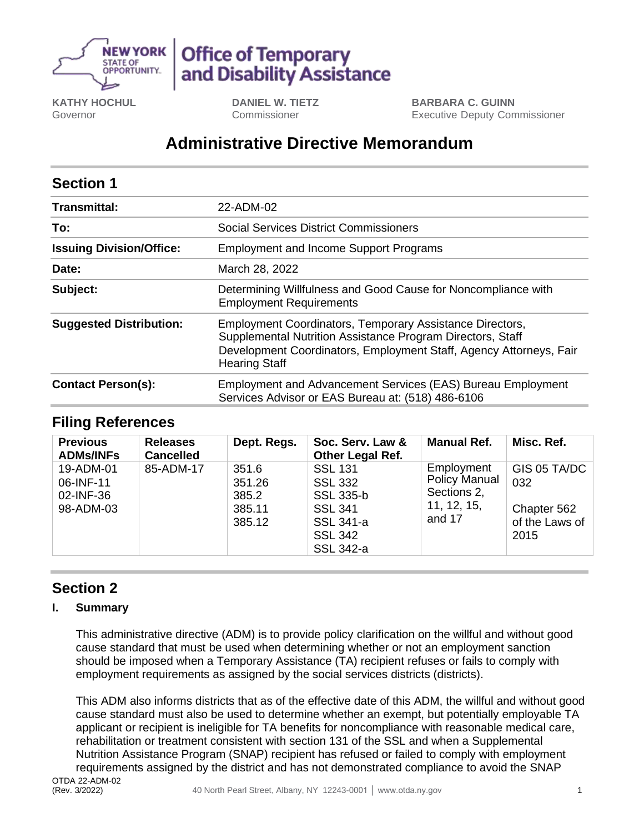

# **Office of Temporary** and Disability Assistance

**KATHY HOCHUL** Governor

**DANIEL W. TIETZ** Commissioner

**BARBARA C. GUINN** Executive Deputy Commissioner

# **Administrative Directive Memorandum**

| <b>Section 1</b>                |                                                                                                                                                                                                                      |  |  |  |  |
|---------------------------------|----------------------------------------------------------------------------------------------------------------------------------------------------------------------------------------------------------------------|--|--|--|--|
| <b>Transmittal:</b>             | 22-ADM-02                                                                                                                                                                                                            |  |  |  |  |
| To:                             | Social Services District Commissioners                                                                                                                                                                               |  |  |  |  |
| <b>Issuing Division/Office:</b> | <b>Employment and Income Support Programs</b>                                                                                                                                                                        |  |  |  |  |
| Date:                           | March 28, 2022                                                                                                                                                                                                       |  |  |  |  |
| Subject:                        | Determining Willfulness and Good Cause for Noncompliance with<br><b>Employment Requirements</b>                                                                                                                      |  |  |  |  |
| <b>Suggested Distribution:</b>  | Employment Coordinators, Temporary Assistance Directors,<br>Supplemental Nutrition Assistance Program Directors, Staff<br>Development Coordinators, Employment Staff, Agency Attorneys, Fair<br><b>Hearing Staff</b> |  |  |  |  |
| <b>Contact Person(s):</b>       | <b>Employment and Advancement Services (EAS) Bureau Employment</b><br>Services Advisor or EAS Bureau at: (518) 486-6106                                                                                              |  |  |  |  |

# **Filing References**

| <b>Previous</b><br><b>ADMs/INFs</b>              | <b>Releases</b><br><b>Cancelled</b> | Dept. Regs.                                  | Soc. Serv. Law &<br><b>Other Legal Ref.</b>                                                                                      | <b>Manual Ref.</b>                                                         | Misc. Ref.                                                   |
|--------------------------------------------------|-------------------------------------|----------------------------------------------|----------------------------------------------------------------------------------------------------------------------------------|----------------------------------------------------------------------------|--------------------------------------------------------------|
| 19-ADM-01<br>06-INF-11<br>02-INF-36<br>98-ADM-03 | 85-ADM-17                           | 351.6<br>351.26<br>385.2<br>385.11<br>385.12 | <b>SSL 131</b><br><b>SSL 332</b><br><b>SSL 335-b</b><br><b>SSL 341</b><br><b>SSL 341-a</b><br><b>SSL 342</b><br><b>SSL 342-a</b> | Employment<br><b>Policy Manual</b><br>Sections 2,<br>11, 12, 15,<br>and 17 | GIS 05 TA/DC<br>032<br>Chapter 562<br>of the Laws of<br>2015 |

# **Section 2**

#### **I. Summary**

This administrative directive (ADM) is to provide policy clarification on the willful and without good cause standard that must be used when determining whether or not an employment sanction should be imposed when a Temporary Assistance (TA) recipient refuses or fails to comply with employment requirements as assigned by the social services districts (districts).

This ADM also informs districts that as of the effective date of this ADM, the willful and without good cause standard must also be used to determine whether an exempt, but potentially employable TA applicant or recipient is ineligible for TA benefits for noncompliance with reasonable medical care, rehabilitation or treatment consistent with section 131 of the SSL and when a Supplemental Nutrition Assistance Program (SNAP) recipient has refused or failed to comply with employment requirements assigned by the district and has not demonstrated compliance to avoid the SNAP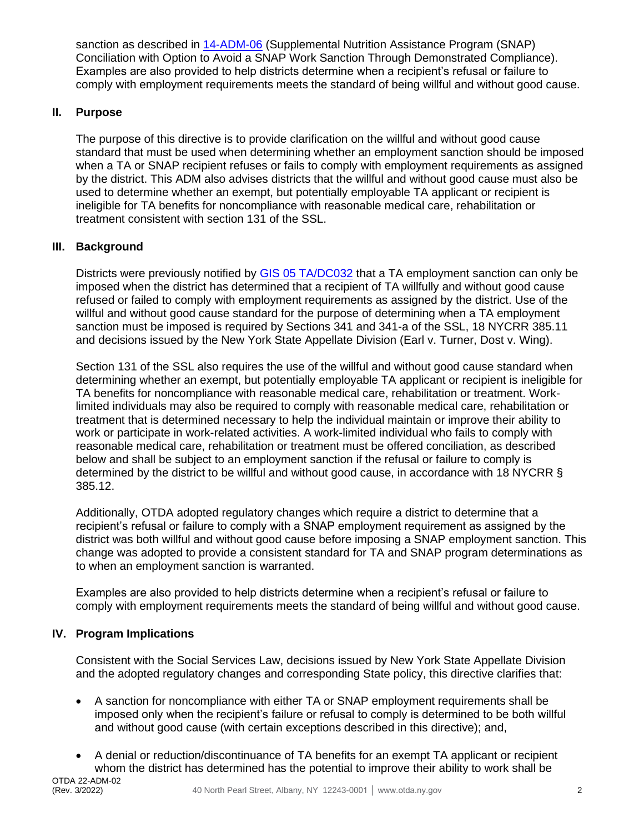sanction as described in [14-ADM-06](https://otda.ny.gov/policy/directives/2014/ADM/14-ADM-06.pdf) (Supplemental Nutrition Assistance Program (SNAP) Conciliation with Option to Avoid a SNAP Work Sanction Through Demonstrated Compliance). Examples are also provided to help districts determine when a recipient's refusal or failure to comply with employment requirements meets the standard of being willful and without good cause.

### **II. Purpose**

The purpose of this directive is to provide clarification on the willful and without good cause standard that must be used when determining whether an employment sanction should be imposed when a TA or SNAP recipient refuses or fails to comply with employment requirements as assigned by the district. This ADM also advises districts that the willful and without good cause must also be used to determine whether an exempt, but potentially employable TA applicant or recipient is ineligible for TA benefits for noncompliance with reasonable medical care, rehabilitation or treatment consistent with section 131 of the SSL.

### **III. Background**

Districts were previously notified by [GIS 05 TA/DC032](http://otda.state.nyenet/dta/resources/GIS/05dc032.rtf) that a TA employment sanction can only be imposed when the district has determined that a recipient of TA willfully and without good cause refused or failed to comply with employment requirements as assigned by the district. Use of the willful and without good cause standard for the purpose of determining when a TA employment sanction must be imposed is required by Sections 341 and 341-a of the SSL, 18 NYCRR 385.11 and decisions issued by the New York State Appellate Division (Earl v. Turner, Dost v. Wing).

Section 131 of the SSL also requires the use of the willful and without good cause standard when determining whether an exempt, but potentially employable TA applicant or recipient is ineligible for TA benefits for noncompliance with reasonable medical care, rehabilitation or treatment. Worklimited individuals may also be required to comply with reasonable medical care, rehabilitation or treatment that is determined necessary to help the individual maintain or improve their ability to work or participate in work-related activities. A work-limited individual who fails to comply with reasonable medical care, rehabilitation or treatment must be offered conciliation, as described below and shall be subject to an employment sanction if the refusal or failure to comply is determined by the district to be willful and without good cause, in accordance with 18 NYCRR § 385.12.

Additionally, OTDA adopted regulatory changes which require a district to determine that a recipient's refusal or failure to comply with a SNAP employment requirement as assigned by the district was both willful and without good cause before imposing a SNAP employment sanction. This change was adopted to provide a consistent standard for TA and SNAP program determinations as to when an employment sanction is warranted.

Examples are also provided to help districts determine when a recipient's refusal or failure to comply with employment requirements meets the standard of being willful and without good cause.

#### **IV. Program Implications**

Consistent with the Social Services Law, decisions issued by New York State Appellate Division and the adopted regulatory changes and corresponding State policy, this directive clarifies that:

- A sanction for noncompliance with either TA or SNAP employment requirements shall be imposed only when the recipient's failure or refusal to comply is determined to be both willful and without good cause (with certain exceptions described in this directive); and,
- A denial or reduction/discontinuance of TA benefits for an exempt TA applicant or recipient whom the district has determined has the potential to improve their ability to work shall be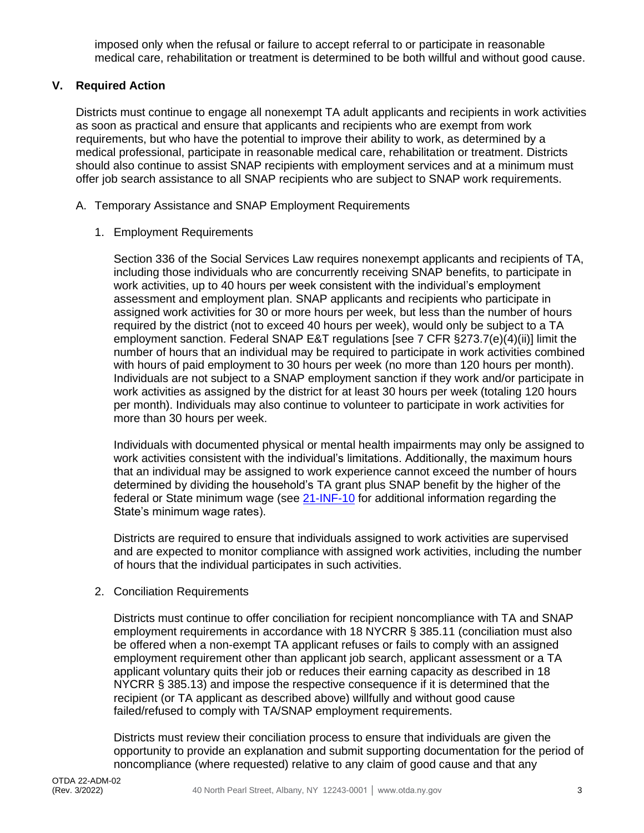imposed only when the refusal or failure to accept referral to or participate in reasonable medical care, rehabilitation or treatment is determined to be both willful and without good cause.

### **V. Required Action**

Districts must continue to engage all nonexempt TA adult applicants and recipients in work activities as soon as practical and ensure that applicants and recipients who are exempt from work requirements, but who have the potential to improve their ability to work, as determined by a medical professional, participate in reasonable medical care, rehabilitation or treatment. Districts should also continue to assist SNAP recipients with employment services and at a minimum must offer job search assistance to all SNAP recipients who are subject to SNAP work requirements.

- A. Temporary Assistance and SNAP Employment Requirements
	- 1. Employment Requirements

Section 336 of the Social Services Law requires nonexempt applicants and recipients of TA, including those individuals who are concurrently receiving SNAP benefits, to participate in work activities, up to 40 hours per week consistent with the individual's employment assessment and employment plan. SNAP applicants and recipients who participate in assigned work activities for 30 or more hours per week, but less than the number of hours required by the district (not to exceed 40 hours per week), would only be subject to a TA employment sanction. Federal SNAP E&T regulations [see 7 CFR §273.7(e)(4)(ii)] limit the number of hours that an individual may be required to participate in work activities combined with hours of paid employment to 30 hours per week (no more than 120 hours per month). Individuals are not subject to a SNAP employment sanction if they work and/or participate in work activities as assigned by the district for at least 30 hours per week (totaling 120 hours per month). Individuals may also continue to volunteer to participate in work activities for more than 30 hours per week.

Individuals with documented physical or mental health impairments may only be assigned to work activities consistent with the individual's limitations. Additionally, the maximum hours that an individual may be assigned to work experience cannot exceed the number of hours determined by dividing the household's TA grant plus SNAP benefit by the higher of the federal or State minimum wage (se[e 21-INF-10](https://otda.ny.gov/policy/directives/2021/INF/21-INF-10.pdf) for additional information regarding the State's minimum wage rates).

Districts are required to ensure that individuals assigned to work activities are supervised and are expected to monitor compliance with assigned work activities, including the number of hours that the individual participates in such activities.

2. Conciliation Requirements

Districts must continue to offer conciliation for recipient noncompliance with TA and SNAP employment requirements in accordance with 18 NYCRR § 385.11 (conciliation must also be offered when a non-exempt TA applicant refuses or fails to comply with an assigned employment requirement other than applicant job search, applicant assessment or a TA applicant voluntary quits their job or reduces their earning capacity as described in 18 NYCRR § 385.13) and impose the respective consequence if it is determined that the recipient (or TA applicant as described above) willfully and without good cause failed/refused to comply with TA/SNAP employment requirements.

Districts must review their conciliation process to ensure that individuals are given the opportunity to provide an explanation and submit supporting documentation for the period of noncompliance (where requested) relative to any claim of good cause and that any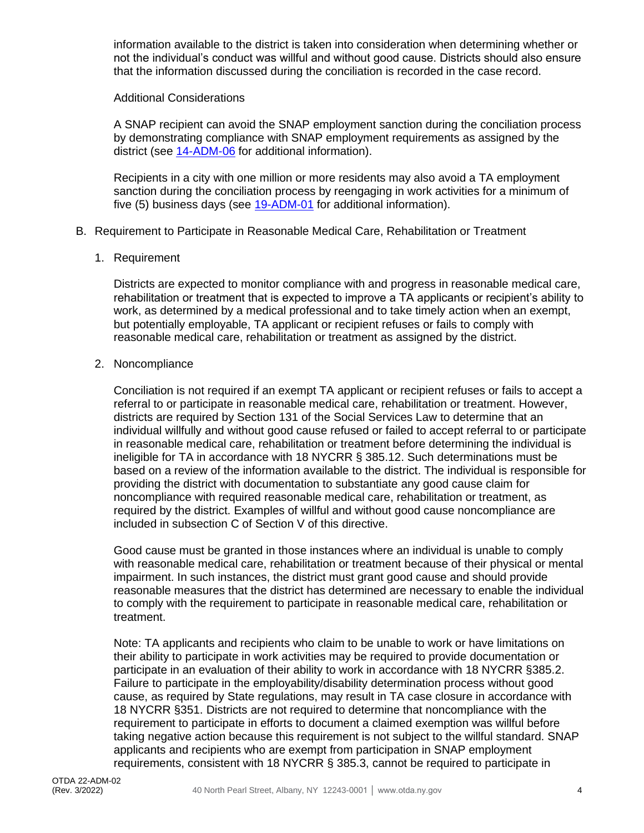information available to the district is taken into consideration when determining whether or not the individual's conduct was willful and without good cause. Districts should also ensure that the information discussed during the conciliation is recorded in the case record.

#### Additional Considerations

A SNAP recipient can avoid the SNAP employment sanction during the conciliation process by demonstrating compliance with SNAP employment requirements as assigned by the district (see [14-ADM-06](https://otda.ny.gov/policy/directives/2014/ADM/14-ADM-06.pdf) for additional information).

Recipients in a city with one million or more residents may also avoid a TA employment sanction during the conciliation process by reengaging in work activities for a minimum of five (5) business days (see [19-ADM-01](https://otda.ny.gov/policy/directives/2019/ADM/19-ADM-01.pdf) for additional information).

#### B. Requirement to Participate in Reasonable Medical Care, Rehabilitation or Treatment

1. Requirement

Districts are expected to monitor compliance with and progress in reasonable medical care, rehabilitation or treatment that is expected to improve a TA applicants or recipient's ability to work, as determined by a medical professional and to take timely action when an exempt, but potentially employable, TA applicant or recipient refuses or fails to comply with reasonable medical care, rehabilitation or treatment as assigned by the district.

#### 2. Noncompliance

Conciliation is not required if an exempt TA applicant or recipient refuses or fails to accept a referral to or participate in reasonable medical care, rehabilitation or treatment. However, districts are required by Section 131 of the Social Services Law to determine that an individual willfully and without good cause refused or failed to accept referral to or participate in reasonable medical care, rehabilitation or treatment before determining the individual is ineligible for TA in accordance with 18 NYCRR § 385.12. Such determinations must be based on a review of the information available to the district. The individual is responsible for providing the district with documentation to substantiate any good cause claim for noncompliance with required reasonable medical care, rehabilitation or treatment, as required by the district. Examples of willful and without good cause noncompliance are included in subsection C of Section V of this directive.

Good cause must be granted in those instances where an individual is unable to comply with reasonable medical care, rehabilitation or treatment because of their physical or mental impairment. In such instances, the district must grant good cause and should provide reasonable measures that the district has determined are necessary to enable the individual to comply with the requirement to participate in reasonable medical care, rehabilitation or treatment.

Note: TA applicants and recipients who claim to be unable to work or have limitations on their ability to participate in work activities may be required to provide documentation or participate in an evaluation of their ability to work in accordance with 18 NYCRR §385.2. Failure to participate in the employability/disability determination process without good cause, as required by State regulations, may result in TA case closure in accordance with 18 NYCRR §351. Districts are not required to determine that noncompliance with the requirement to participate in efforts to document a claimed exemption was willful before taking negative action because this requirement is not subject to the willful standard. SNAP applicants and recipients who are exempt from participation in SNAP employment requirements, consistent with 18 NYCRR § 385.3, cannot be required to participate in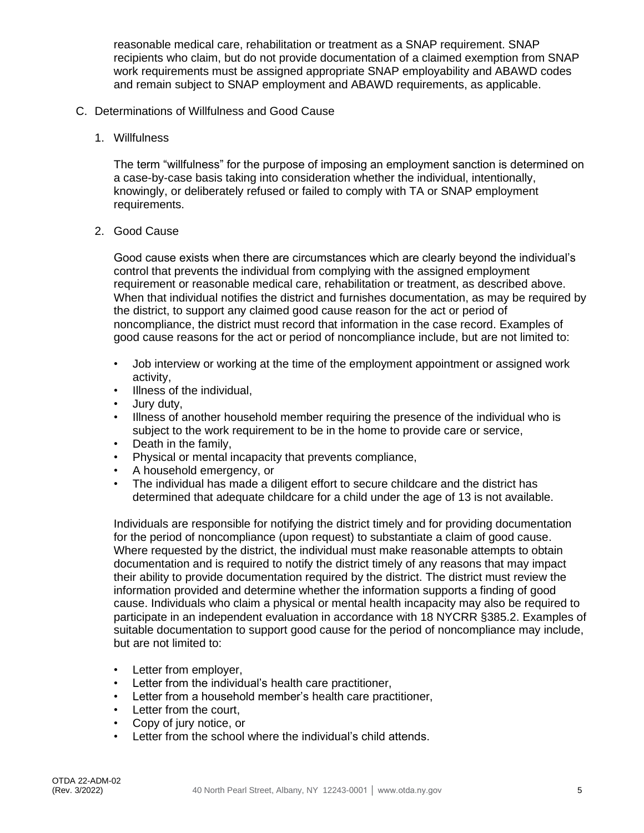reasonable medical care, rehabilitation or treatment as a SNAP requirement. SNAP recipients who claim, but do not provide documentation of a claimed exemption from SNAP work requirements must be assigned appropriate SNAP employability and ABAWD codes and remain subject to SNAP employment and ABAWD requirements, as applicable.

- C. Determinations of Willfulness and Good Cause
	- 1. Willfulness

The term "willfulness" for the purpose of imposing an employment sanction is determined on a case-by-case basis taking into consideration whether the individual, intentionally, knowingly, or deliberately refused or failed to comply with TA or SNAP employment requirements.

2. Good Cause

Good cause exists when there are circumstances which are clearly beyond the individual's control that prevents the individual from complying with the assigned employment requirement or reasonable medical care, rehabilitation or treatment, as described above. When that individual notifies the district and furnishes documentation, as may be required by the district, to support any claimed good cause reason for the act or period of noncompliance, the district must record that information in the case record. Examples of good cause reasons for the act or period of noncompliance include, but are not limited to:

- Job interview or working at the time of the employment appointment or assigned work activity,
- Illness of the individual,
- Jury duty,
- Illness of another household member requiring the presence of the individual who is subject to the work requirement to be in the home to provide care or service,
- Death in the family,
- Physical or mental incapacity that prevents compliance,
- A household emergency, or
- The individual has made a diligent effort to secure childcare and the district has determined that adequate childcare for a child under the age of 13 is not available.

Individuals are responsible for notifying the district timely and for providing documentation for the period of noncompliance (upon request) to substantiate a claim of good cause. Where requested by the district, the individual must make reasonable attempts to obtain documentation and is required to notify the district timely of any reasons that may impact their ability to provide documentation required by the district. The district must review the information provided and determine whether the information supports a finding of good cause. Individuals who claim a physical or mental health incapacity may also be required to participate in an independent evaluation in accordance with 18 NYCRR §385.2. Examples of suitable documentation to support good cause for the period of noncompliance may include, but are not limited to:

- Letter from employer,
- Letter from the individual's health care practitioner,
- Letter from a household member's health care practitioner,
- Letter from the court,
- Copy of jury notice, or
- Letter from the school where the individual's child attends.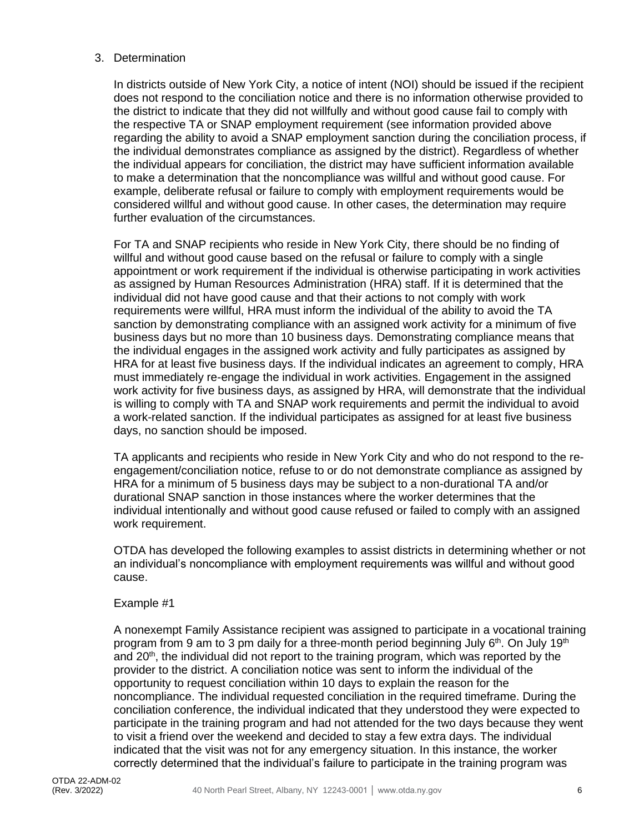#### 3. Determination

In districts outside of New York City, a notice of intent (NOI) should be issued if the recipient does not respond to the conciliation notice and there is no information otherwise provided to the district to indicate that they did not willfully and without good cause fail to comply with the respective TA or SNAP employment requirement (see information provided above regarding the ability to avoid a SNAP employment sanction during the conciliation process, if the individual demonstrates compliance as assigned by the district). Regardless of whether the individual appears for conciliation, the district may have sufficient information available to make a determination that the noncompliance was willful and without good cause. For example, deliberate refusal or failure to comply with employment requirements would be considered willful and without good cause. In other cases, the determination may require further evaluation of the circumstances.

For TA and SNAP recipients who reside in New York City, there should be no finding of willful and without good cause based on the refusal or failure to comply with a single appointment or work requirement if the individual is otherwise participating in work activities as assigned by Human Resources Administration (HRA) staff. If it is determined that the individual did not have good cause and that their actions to not comply with work requirements were willful, HRA must inform the individual of the ability to avoid the TA sanction by demonstrating compliance with an assigned work activity for a minimum of five business days but no more than 10 business days. Demonstrating compliance means that the individual engages in the assigned work activity and fully participates as assigned by HRA for at least five business days. If the individual indicates an agreement to comply, HRA must immediately re-engage the individual in work activities. Engagement in the assigned work activity for five business days, as assigned by HRA, will demonstrate that the individual is willing to comply with TA and SNAP work requirements and permit the individual to avoid a work-related sanction. If the individual participates as assigned for at least five business days, no sanction should be imposed.

TA applicants and recipients who reside in New York City and who do not respond to the reengagement/conciliation notice, refuse to or do not demonstrate compliance as assigned by HRA for a minimum of 5 business days may be subject to a non-durational TA and/or durational SNAP sanction in those instances where the worker determines that the individual intentionally and without good cause refused or failed to comply with an assigned work requirement.

OTDA has developed the following examples to assist districts in determining whether or not an individual's noncompliance with employment requirements was willful and without good cause.

#### Example #1

A nonexempt Family Assistance recipient was assigned to participate in a vocational training program from 9 am to 3 pm daily for a three-month period beginning July  $6<sup>th</sup>$ . On July 19<sup>th</sup> and 20<sup>th</sup>, the individual did not report to the training program, which was reported by the provider to the district. A conciliation notice was sent to inform the individual of the opportunity to request conciliation within 10 days to explain the reason for the noncompliance. The individual requested conciliation in the required timeframe. During the conciliation conference, the individual indicated that they understood they were expected to participate in the training program and had not attended for the two days because they went to visit a friend over the weekend and decided to stay a few extra days. The individual indicated that the visit was not for any emergency situation. In this instance, the worker correctly determined that the individual's failure to participate in the training program was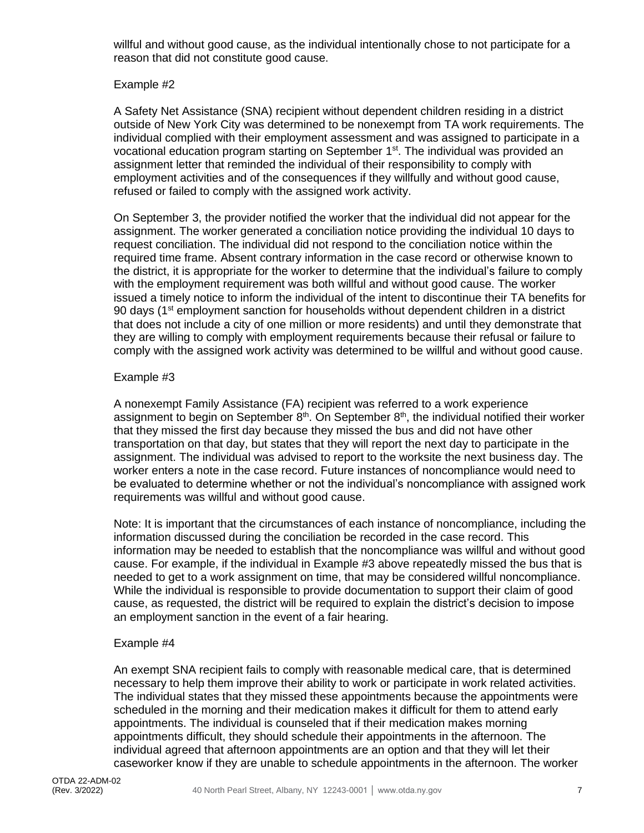willful and without good cause, as the individual intentionally chose to not participate for a reason that did not constitute good cause.

#### Example #2

A Safety Net Assistance (SNA) recipient without dependent children residing in a district outside of New York City was determined to be nonexempt from TA work requirements. The individual complied with their employment assessment and was assigned to participate in a vocational education program starting on September 1<sup>st</sup>. The individual was provided an assignment letter that reminded the individual of their responsibility to comply with employment activities and of the consequences if they willfully and without good cause, refused or failed to comply with the assigned work activity.

On September 3, the provider notified the worker that the individual did not appear for the assignment. The worker generated a conciliation notice providing the individual 10 days to request conciliation. The individual did not respond to the conciliation notice within the required time frame. Absent contrary information in the case record or otherwise known to the district, it is appropriate for the worker to determine that the individual's failure to comply with the employment requirement was both willful and without good cause. The worker issued a timely notice to inform the individual of the intent to discontinue their TA benefits for 90 days (1<sup>st</sup> employment sanction for households without dependent children in a district that does not include a city of one million or more residents) and until they demonstrate that they are willing to comply with employment requirements because their refusal or failure to comply with the assigned work activity was determined to be willful and without good cause.

#### Example #3

A nonexempt Family Assistance (FA) recipient was referred to a work experience assignment to begin on September  $8<sup>th</sup>$ . On September  $8<sup>th</sup>$ , the individual notified their worker that they missed the first day because they missed the bus and did not have other transportation on that day, but states that they will report the next day to participate in the assignment. The individual was advised to report to the worksite the next business day. The worker enters a note in the case record. Future instances of noncompliance would need to be evaluated to determine whether or not the individual's noncompliance with assigned work requirements was willful and without good cause.

Note: It is important that the circumstances of each instance of noncompliance, including the information discussed during the conciliation be recorded in the case record. This information may be needed to establish that the noncompliance was willful and without good cause. For example, if the individual in Example #3 above repeatedly missed the bus that is needed to get to a work assignment on time, that may be considered willful noncompliance. While the individual is responsible to provide documentation to support their claim of good cause, as requested, the district will be required to explain the district's decision to impose an employment sanction in the event of a fair hearing.

#### Example #4

An exempt SNA recipient fails to comply with reasonable medical care, that is determined necessary to help them improve their ability to work or participate in work related activities. The individual states that they missed these appointments because the appointments were scheduled in the morning and their medication makes it difficult for them to attend early appointments. The individual is counseled that if their medication makes morning appointments difficult, they should schedule their appointments in the afternoon. The individual agreed that afternoon appointments are an option and that they will let their caseworker know if they are unable to schedule appointments in the afternoon. The worker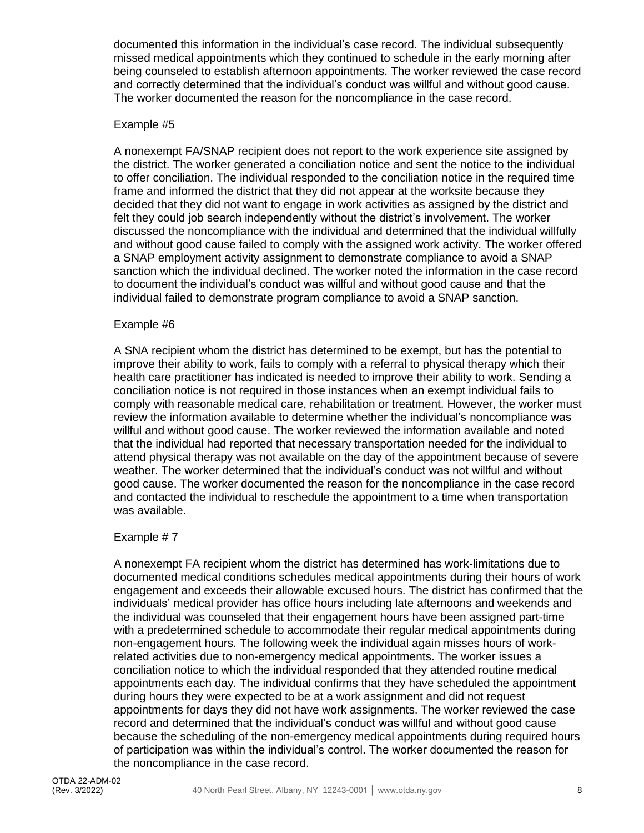documented this information in the individual's case record. The individual subsequently missed medical appointments which they continued to schedule in the early morning after being counseled to establish afternoon appointments. The worker reviewed the case record and correctly determined that the individual's conduct was willful and without good cause. The worker documented the reason for the noncompliance in the case record.

#### Example #5

A nonexempt FA/SNAP recipient does not report to the work experience site assigned by the district. The worker generated a conciliation notice and sent the notice to the individual to offer conciliation. The individual responded to the conciliation notice in the required time frame and informed the district that they did not appear at the worksite because they decided that they did not want to engage in work activities as assigned by the district and felt they could job search independently without the district's involvement. The worker discussed the noncompliance with the individual and determined that the individual willfully and without good cause failed to comply with the assigned work activity. The worker offered a SNAP employment activity assignment to demonstrate compliance to avoid a SNAP sanction which the individual declined. The worker noted the information in the case record to document the individual's conduct was willful and without good cause and that the individual failed to demonstrate program compliance to avoid a SNAP sanction.

#### Example #6

A SNA recipient whom the district has determined to be exempt, but has the potential to improve their ability to work, fails to comply with a referral to physical therapy which their health care practitioner has indicated is needed to improve their ability to work. Sending a conciliation notice is not required in those instances when an exempt individual fails to comply with reasonable medical care, rehabilitation or treatment. However, the worker must review the information available to determine whether the individual's noncompliance was willful and without good cause. The worker reviewed the information available and noted that the individual had reported that necessary transportation needed for the individual to attend physical therapy was not available on the day of the appointment because of severe weather. The worker determined that the individual's conduct was not willful and without good cause. The worker documented the reason for the noncompliance in the case record and contacted the individual to reschedule the appointment to a time when transportation was available.

#### Example # 7

A nonexempt FA recipient whom the district has determined has work-limitations due to documented medical conditions schedules medical appointments during their hours of work engagement and exceeds their allowable excused hours. The district has confirmed that the individuals' medical provider has office hours including late afternoons and weekends and the individual was counseled that their engagement hours have been assigned part-time with a predetermined schedule to accommodate their regular medical appointments during non-engagement hours. The following week the individual again misses hours of workrelated activities due to non-emergency medical appointments. The worker issues a conciliation notice to which the individual responded that they attended routine medical appointments each day. The individual confirms that they have scheduled the appointment during hours they were expected to be at a work assignment and did not request appointments for days they did not have work assignments. The worker reviewed the case record and determined that the individual's conduct was willful and without good cause because the scheduling of the non-emergency medical appointments during required hours of participation was within the individual's control. The worker documented the reason for the noncompliance in the case record.